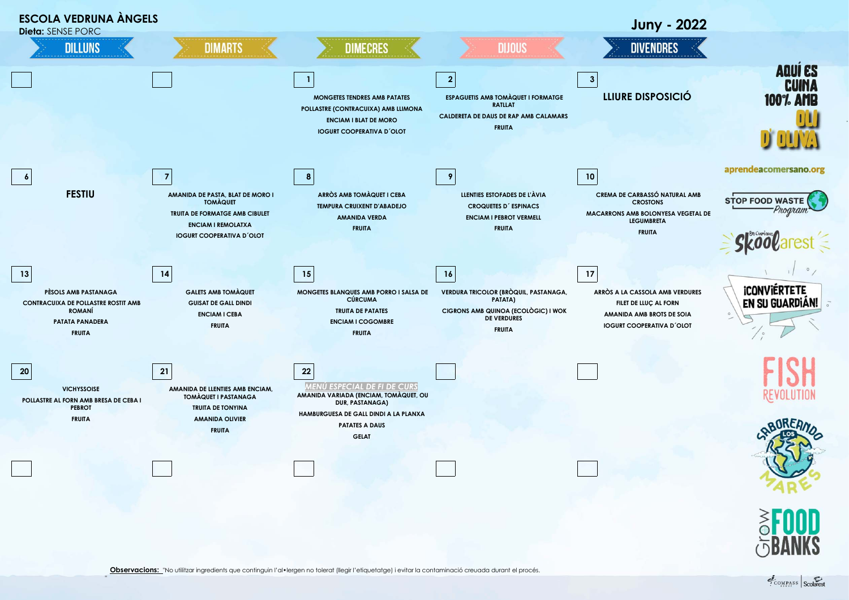

"